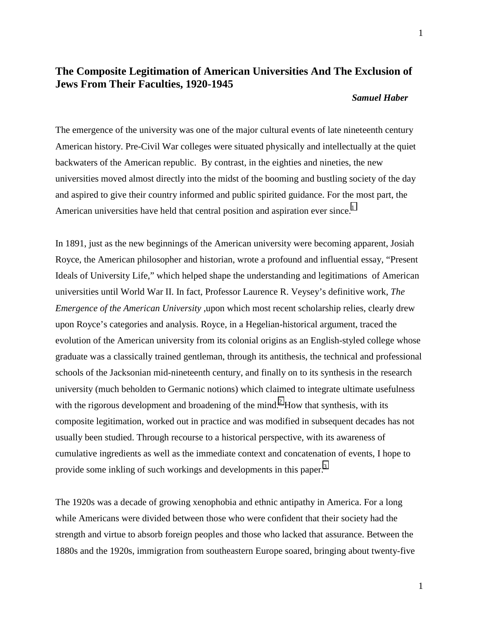## **The Composite Legitimation of American Universities And The Exclusion of Jews From Their Faculties, 1920-1945**

## *Samuel Haber*

The emergence of the university was one of the major cultural events of late nineteenth century American history. Pre-Civil War colleges were situated physically and intellectually at the quiet backwaters of the American republic. By contrast, in the eighties and nineties, the new universities moved almost directly into the midst of the booming and bustling society of the day and aspired to give their country informed and public spirited guidance. For the most part, the American universities have held that central position and aspiration ever since.<sup>[1](#page-12-0)</sup>

In 1891, just as the new beginnings of the American university were becoming apparent, Josiah Royce, the American philosopher and historian, wrote a profound and influential essay, "Present Ideals of University Life," which helped shape the understanding and legitimations of American universities until World War II. In fact, Professor Laurence R. Veysey's definitive work, *The Emergence of the American University* ,upon which most recent scholarship relies, clearly drew upon Royce's categories and analysis. Royce, in a Hegelian-historical argument, traced the evolution of the American university from its colonial origins as an English-styled college whose graduate was a classically trained gentleman, through its antithesis, the technical and professional schools of the Jacksonian mid-nineteenth century, and finally on to its synthesis in the research university (much beholden to Germanic notions) which claimed to integrate ultimate usefulness with the rigorous development and broadening of the mind.<sup>2</sup> How that synthesis, with its composite legitimation, worked out in practice and was modified in subsequent decades has not usually been studied. Through recourse to a historical perspective, with its awareness of cumulative ingredients as well as the immediate context and concatenation of events, I hope to provide some inkling of such workings and developments in this paper.<sup>[3](#page-12-0)</sup>

The 1920s was a decade of growing xenophobia and ethnic antipathy in America. For a long while Americans were divided between those who were confident that their society had the strength and virtue to absorb foreign peoples and those who lacked that assurance. Between the 1880s and the 1920s, immigration from southeastern Europe soared, bringing about twenty-five

1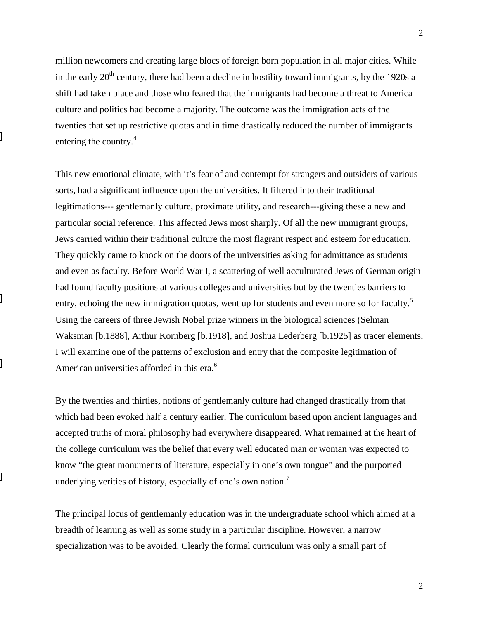million newcomers and creating large blocs of foreign born population in all major cities. While in the early 20<sup>th</sup> century, there had been a decline in hostility toward immigrants, by the 1920s a shift had taken place and those who feared that the immigrants had become a threat to America culture and politics had become a majority. The outcome was the immigration acts of the twenties that set up restrictive quotas and in time drastically reduced the number of immigrants entering the country.<sup>4</sup>

This new emotional climate, with it's fear of and contempt for strangers and outsiders of various sorts, had a significant influence upon the universities. It filtered into their traditional legitimations--- gentlemanly culture, proximate utility, and research---giving these a new and particular social reference. This affected Jews most sharply. Of all the new immigrant groups, Jews carried within their traditional culture the most flagrant respect and esteem for education. They quickly came to knock on the doors of the universities asking for admittance as students and even as faculty. Before World War I, a scattering of well acculturated Jews of German origin had found faculty positions at various colleges and universities but by the twenties barriers to entry, echoing the new immigration quotas, went up for students and even more so for faculty.<sup>5</sup> Using the careers of three Jewish Nobel prize winners in the biological sciences (Selman Waksman [b.1888], Arthur Kornberg [b.1918], and Joshua Lederberg [b.1925] as tracer elements, I will examine one of the patterns of exclusion and entry that the composite legitimation of American universities afforded in this era.<sup>6</sup>

By the twenties and thirties, notions of gentlemanly culture had changed drastically from that which had been evoked half a century earlier. The curriculum based upon ancient languages and accepted truths of moral philosophy had everywhere disappeared. What remained at the heart of the college curriculum was the belief that every well educated man or woman was expected to know "the great monuments of literature, especially in one's own tongue" and the purported underlying verities of history, especially of one's own nation.<sup>7</sup>

The principal locus of gentlemanly education was in the undergraduate school which aimed at a breadth of learning as well as some study in a particular discipline. However, a narrow specialization was to be avoided. Clearly the formal curriculum was only a small part of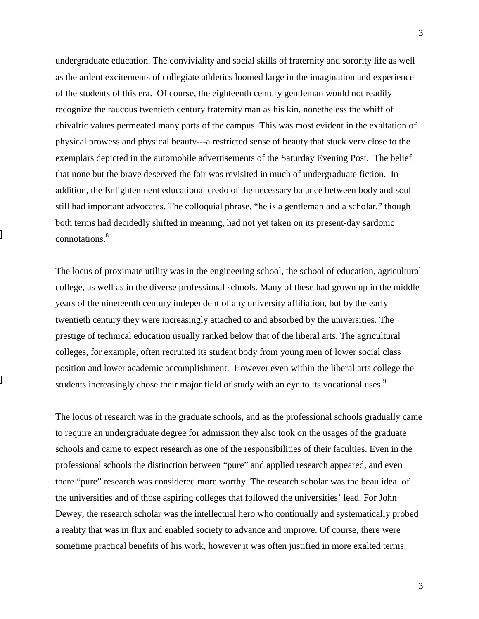undergraduate education. The conviviality and social skills of fraternity and sorority life as well as the ardent excitements of collegiate athletics loomed large in the imagination and experience of the students of this era. Of course, the eighteenth century gentleman would not readily recognize the raucous twentieth century fraternity man as his kin, nonetheless the whiff of chivalric values permeated many parts of the campus. This was most evident in the exaltation of physical prowess and physical beauty---a restricted sense of beauty that stuck very close to the exemplars depicted in the automobile advertisements of the Saturday Evening Post. The belief that none but the brave deserved the fair was revisited in much of undergraduate fiction. In addition, the Enlightenment educational credo of the necessary balance between body and soul still had important advocates. The colloquial phrase, "he is a gentleman and a scholar," though both terms had decidedly shifted in meaning, had not yet taken on its present-day sardonic connotations.8

The locus of proximate utility was in the engineering school, the school of education, agricultural college, as well as in the diverse professional schools. Many of these had grown up in the middle years of the nineteenth century independent of any university affiliation, but by the early twentieth century they were increasingly attached to and absorbed by the universities. The prestige of technical education usually ranked below that of the liberal arts. The agricultural colleges, for example, often recruited its student body from young men of lower social class position and lower academic accomplishment. However even within the liberal arts college the students increasingly chose their major field of study with an eye to its vocational uses.<sup>9</sup>

The locus of research was in the graduate schools, and as the professional schools gradually came to require an undergraduate degree for admission they also took on the usages of the graduate schools and came to expect research as one of the responsibilities of their faculties. Even in the professional schools the distinction between "pure" and applied research appeared, and even there "pure" research was considered more worthy. The research scholar was the beau ideal of the universities and of those aspiring colleges that followed the universities' lead. For John Dewey, the research scholar was the intellectual hero who continually and systematically probed a reality that was in flux and enabled society to advance and improve. Of course, there were sometime practical benefits of his work, however it was often justified in more exalted terms.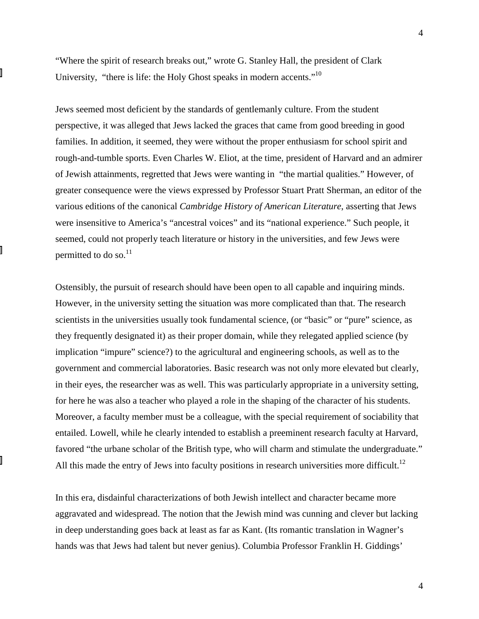"Where the spirit of research breaks out," wrote G. Stanley Hall, the president of Clark University, "there is life: the Holy Ghost speaks in modern accents."10

Jews seemed most deficient by the standards of gentlemanly culture. From the student perspective, it was alleged that Jews lacked the graces that came from good breeding in good families. In addition, it seemed, they were without the proper enthusiasm for school spirit and rough-and-tumble sports. Even Charles W. Eliot, at the time, president of Harvard and an admirer of Jewish attainments, regretted that Jews were wanting in "the martial qualities." However, of greater consequence were the views expressed by Professor Stuart Pratt Sherman, an editor of the various editions of the canonical *Cambridge History of American Literature*, asserting that Jews were insensitive to America's "ancestral voices" and its "national experience." Such people, it seemed, could not properly teach literature or history in the universities, and few Jews were permitted to do so. $^{11}$ 

Ostensibly, the pursuit of research should have been open to all capable and inquiring minds. However, in the university setting the situation was more complicated than that. The research scientists in the universities usually took fundamental science, (or "basic" or "pure" science, as they frequently designated it) as their proper domain, while they relegated applied science (by implication "impure" science?) to the agricultural and engineering schools, as well as to the government and commercial laboratories. Basic research was not only more elevated but clearly, in their eyes, the researcher was as well. This was particularly appropriate in a university setting, for here he was also a teacher who played a role in the shaping of the character of his students. Moreover, a faculty member must be a colleague, with the special requirement of sociability that entailed. Lowell, while he clearly intended to establish a preeminent research faculty at Harvard, favored "the urbane scholar of the British type, who will charm and stimulate the undergraduate." All this made the entry of Jews into faculty positions in research universities more difficult.<sup>12</sup>

In this era, disdainful characterizations of both Jewish intellect and character became more aggravated and widespread. The notion that the Jewish mind was cunning and clever but lacking in deep understanding goes back at least as far as Kant. (Its romantic translation in Wagner's hands was that Jews had talent but never genius). Columbia Professor Franklin H. Giddings'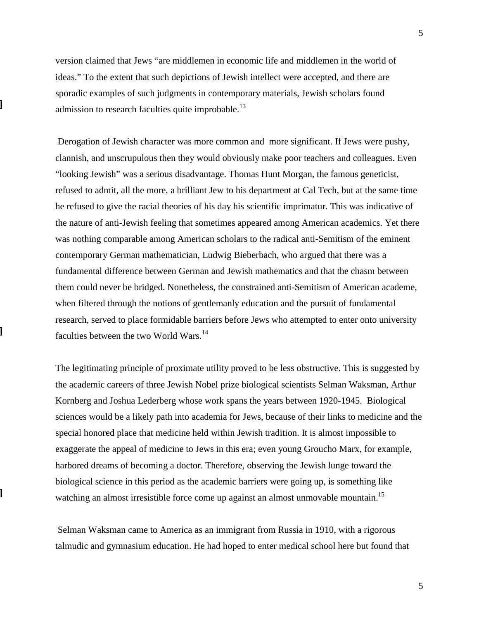version claimed that Jews "are middlemen in economic life and middlemen in the world of ideas." To the extent that such depictions of Jewish intellect were accepted, and there are sporadic examples of such judgments in contemporary materials, Jewish scholars found admission to research faculties quite improbable.<sup>13</sup>

 Derogation of Jewish character was more common and more significant. If Jews were pushy, clannish, and unscrupulous then they would obviously make poor teachers and colleagues. Even "looking Jewish" was a serious disadvantage. Thomas Hunt Morgan, the famous geneticist, refused to admit, all the more, a brilliant Jew to his department at Cal Tech, but at the same time he refused to give the racial theories of his day his scientific imprimatur. This was indicative of the nature of anti-Jewish feeling that sometimes appeared among American academics. Yet there was nothing comparable among American scholars to the radical anti-Semitism of the eminent contemporary German mathematician, Ludwig Bieberbach, who argued that there was a fundamental difference between German and Jewish mathematics and that the chasm between them could never be bridged. Nonetheless, the constrained anti-Semitism of American academe, when filtered through the notions of gentlemanly education and the pursuit of fundamental research, served to place formidable barriers before Jews who attempted to enter onto university faculties between the two World Wars.<sup>14</sup>

The legitimating principle of proximate utility proved to be less obstructive. This is suggested by the academic careers of three Jewish Nobel prize biological scientists Selman Waksman, Arthur Kornberg and Joshua Lederberg whose work spans the years between 1920-1945. Biological sciences would be a likely path into academia for Jews, because of their links to medicine and the special honored place that medicine held within Jewish tradition. It is almost impossible to exaggerate the appeal of medicine to Jews in this era; even young Groucho Marx, for example, harbored dreams of becoming a doctor. Therefore, observing the Jewish lunge toward the biological science in this period as the academic barriers were going up, is something like watching an almost irresistible force come up against an almost unmovable mountain.<sup>15</sup>

 Selman Waksman came to America as an immigrant from Russia in 1910, with a rigorous talmudic and gymnasium education. He had hoped to enter medical school here but found that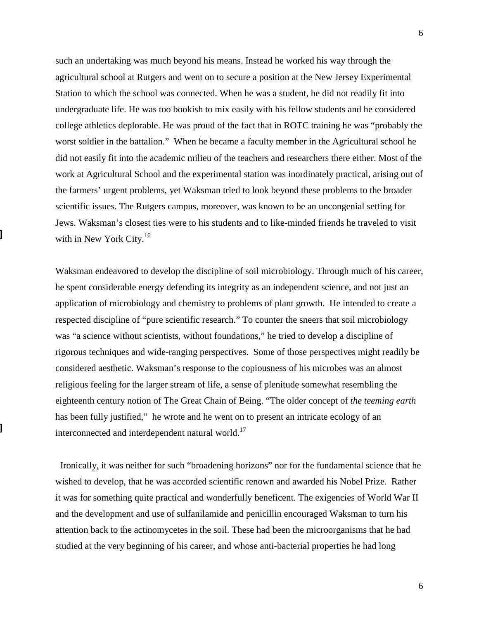such an undertaking was much beyond his means. Instead he worked his way through the agricultural school at Rutgers and went on to secure a position at the New Jersey Experimental Station to which the school was connected. When he was a student, he did not readily fit into undergraduate life. He was too bookish to mix easily with his fellow students and he considered college athletics deplorable. He was proud of the fact that in ROTC training he was "probably the worst soldier in the battalion." When he became a faculty member in the Agricultural school he did not easily fit into the academic milieu of the teachers and researchers there either. Most of the work at Agricultural School and the experimental station was inordinately practical, arising out of the farmers' urgent problems, yet Waksman tried to look beyond these problems to the broader scientific issues. The Rutgers campus, moreover, was known to be an uncongenial setting for Jews. Waksman's closest ties were to his students and to like-minded friends he traveled to visit with in New York City. $16$ 

Waksman endeavored to develop the discipline of soil microbiology. Through much of his career, he spent considerable energy defending its integrity as an independent science, and not just an application of microbiology and chemistry to problems of plant growth. He intended to create a respected discipline of "pure scientific research." To counter the sneers that soil microbiology was "a science without scientists, without foundations," he tried to develop a discipline of rigorous techniques and wide-ranging perspectives. Some of those perspectives might readily be considered aesthetic. Waksman's response to the copiousness of his microbes was an almost religious feeling for the larger stream of life, a sense of plenitude somewhat resembling the eighteenth century notion of The Great Chain of Being. "The older concept of *the teeming earth* has been fully justified," he wrote and he went on to present an intricate ecology of an interconnected and interdependent natural world.<sup>17</sup>

 Ironically, it was neither for such "broadening horizons" nor for the fundamental science that he wished to develop, that he was accorded scientific renown and awarded his Nobel Prize. Rather it was for something quite practical and wonderfully beneficent. The exigencies of World War II and the development and use of sulfanilamide and penicillin encouraged Waksman to turn his attention back to the actinomycetes in the soil. These had been the microorganisms that he had studied at the very beginning of his career, and whose anti-bacterial properties he had long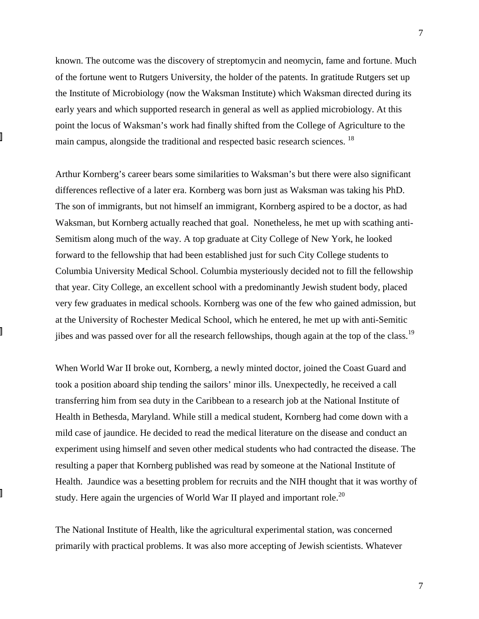known. The outcome was the discovery of streptomycin and neomycin, fame and fortune. Much of the fortune went to Rutgers University, the holder of the patents. In gratitude Rutgers set up the Institute of Microbiology (now the Waksman Institute) which Waksman directed during its early years and which supported research in general as well as applied microbiology. At this point the locus of Waksman's work had finally shifted from the College of Agriculture to the main campus, alongside the traditional and respected basic research sciences. <sup>18</sup>

Arthur Kornberg's career bears some similarities to Waksman's but there were also significant differences reflective of a later era. Kornberg was born just as Waksman was taking his PhD. The son of immigrants, but not himself an immigrant, Kornberg aspired to be a doctor, as had Waksman, but Kornberg actually reached that goal. Nonetheless, he met up with scathing anti-Semitism along much of the way. A top graduate at City College of New York, he looked forward to the fellowship that had been established just for such City College students to Columbia University Medical School. Columbia mysteriously decided not to fill the fellowship that year. City College, an excellent school with a predominantly Jewish student body, placed very few graduates in medical schools. Kornberg was one of the few who gained admission, but at the University of Rochester Medical School, which he entered, he met up with anti-Semitic jibes and was passed over for all the research fellowships, though again at the top of the class.<sup>19</sup>

When World War II broke out, Kornberg, a newly minted doctor, joined the Coast Guard and took a position aboard ship tending the sailors' minor ills. Unexpectedly, he received a call transferring him from sea duty in the Caribbean to a research job at the National Institute of Health in Bethesda, Maryland. While still a medical student, Kornberg had come down with a mild case of jaundice. He decided to read the medical literature on the disease and conduct an experiment using himself and seven other medical students who had contracted the disease. The resulting a paper that Kornberg published was read by someone at the National Institute of Health. Jaundice was a besetting problem for recruits and the NIH thought that it was worthy of study. Here again the urgencies of World War II played and important role.<sup>20</sup>

The National Institute of Health, like the agricultural experimental station, was concerned primarily with practical problems. It was also more accepting of Jewish scientists. Whatever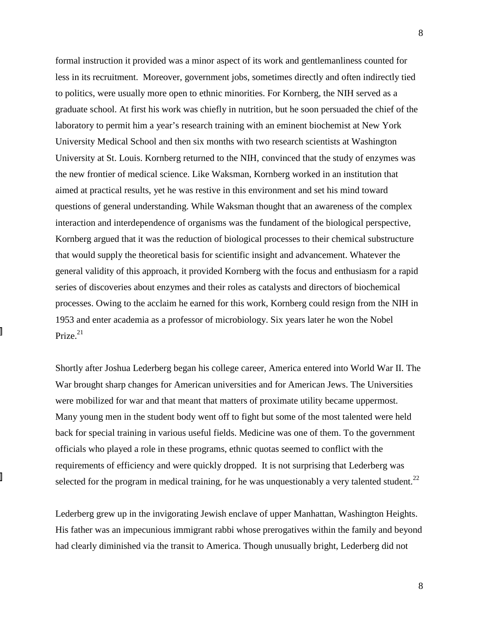formal instruction it provided was a minor aspect of its work and gentlemanliness counted for less in its recruitment. Moreover, government jobs, sometimes directly and often indirectly tied to politics, were usually more open to ethnic minorities. For Kornberg, the NIH served as a graduate school. At first his work was chiefly in nutrition, but he soon persuaded the chief of the laboratory to permit him a year's research training with an eminent biochemist at New York University Medical School and then six months with two research scientists at Washington University at St. Louis. Kornberg returned to the NIH, convinced that the study of enzymes was the new frontier of medical science. Like Waksman, Kornberg worked in an institution that aimed at practical results, yet he was restive in this environment and set his mind toward questions of general understanding. While Waksman thought that an awareness of the complex interaction and interdependence of organisms was the fundament of the biological perspective, Kornberg argued that it was the reduction of biological processes to their chemical substructure that would supply the theoretical basis for scientific insight and advancement. Whatever the general validity of this approach, it provided Kornberg with the focus and enthusiasm for a rapid series of discoveries about enzymes and their roles as catalysts and directors of biochemical processes. Owing to the acclaim he earned for this work, Kornberg could resign from the NIH in 1953 and enter academia as a professor of microbiology. Six years later he won the Nobel Prize. $21$ 

Shortly after Joshua Lederberg began his college career, America entered into World War II. The War brought sharp changes for American universities and for American Jews. The Universities were mobilized for war and that meant that matters of proximate utility became uppermost. Many young men in the student body went off to fight but some of the most talented were held back for special training in various useful fields. Medicine was one of them. To the government officials who played a role in these programs, ethnic quotas seemed to conflict with the requirements of efficiency and were quickly dropped. It is not surprising that Lederberg was selected for the program in medical training, for he was unquestionably a very talented student.<sup>22</sup>

Lederberg grew up in the invigorating Jewish enclave of upper Manhattan, Washington Heights. His father was an impecunious immigrant rabbi whose prerogatives within the family and beyond had clearly diminished via the transit to America. Though unusually bright, Lederberg did not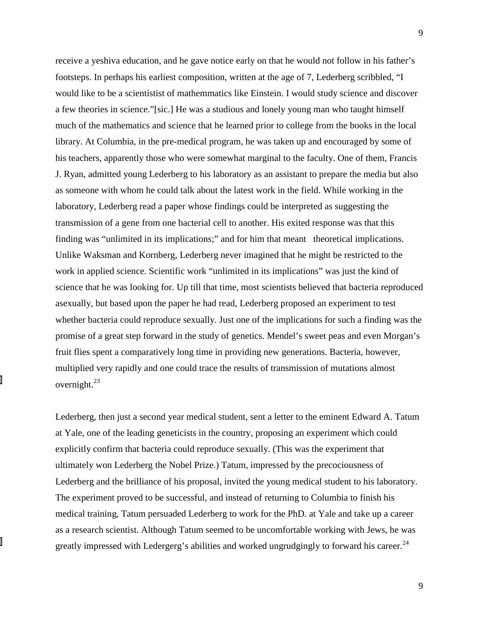receive a yeshiva education, and he gave notice early on that he would not follow in his father's footsteps. In perhaps his earliest composition, written at the age of 7, Lederberg scribbled, "I would like to be a scientistist of mathemmatics like Einstein. I would study science and discover a few theories in science."[sic.] He was a studious and lonely young man who taught himself much of the mathematics and science that he learned prior to college from the books in the local library. At Columbia, in the pre-medical program, he was taken up and encouraged by some of his teachers, apparently those who were somewhat marginal to the faculty. One of them, Francis J. Ryan, admitted young Lederberg to his laboratory as an assistant to prepare the media but also as someone with whom he could talk about the latest work in the field. While working in the laboratory, Lederberg read a paper whose findings could be interpreted as suggesting the transmission of a gene from one bacterial cell to another. His exited response was that this finding was "unlimited in its implications;" and for him that meant theoretical implications. Unlike Waksman and Kornberg, Lederberg never imagined that he might be restricted to the work in applied science. Scientific work "unlimited in its implications" was just the kind of science that he was looking for. Up till that time, most scientists believed that bacteria reproduced asexually, but based upon the paper he had read, Lederberg proposed an experiment to test whether bacteria could reproduce sexually. Just one of the implications for such a finding was the promise of a great step forward in the study of genetics. Mendel's sweet peas and even Morgan's fruit flies spent a comparatively long time in providing new generations. Bacteria, however, multiplied very rapidly and one could trace the results of transmission of mutations almost overnight. $^{23}$ 

Lederberg, then just a second year medical student, sent a letter to the eminent Edward A. Tatum at Yale, one of the leading geneticists in the country, proposing an experiment which could explicitly confirm that bacteria could reproduce sexually. (This was the experiment that ultimately won Lederberg the Nobel Prize.) Tatum, impressed by the precociousness of Lederberg and the brilliance of his proposal, invited the young medical student to his laboratory. The experiment proved to be successful, and instead of returning to Columbia to finish his medical training, Tatum persuaded Lederberg to work for the PhD. at Yale and take up a career as a research scientist. Although Tatum seemed to be uncomfortable working with Jews, he was greatly impressed with Ledergerg's abilities and worked ungrudgingly to forward his career.<sup>24</sup>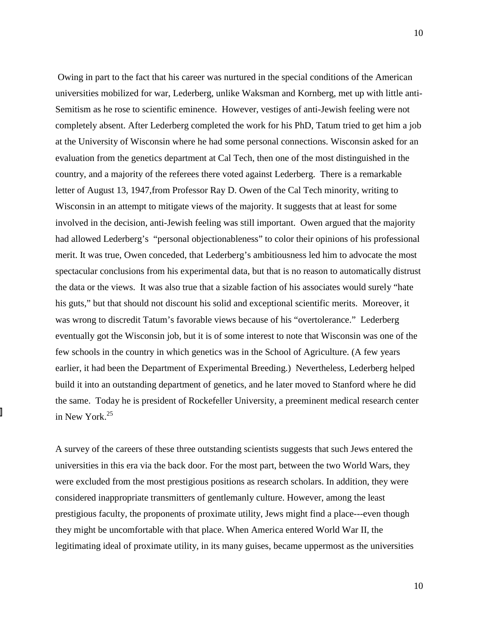Owing in part to the fact that his career was nurtured in the special conditions of the American universities mobilized for war, Lederberg, unlike Waksman and Kornberg, met up with little anti-Semitism as he rose to scientific eminence. However, vestiges of anti-Jewish feeling were not completely absent. After Lederberg completed the work for his PhD, Tatum tried to get him a job at the University of Wisconsin where he had some personal connections. Wisconsin asked for an evaluation from the genetics department at Cal Tech, then one of the most distinguished in the country, and a majority of the referees there voted against Lederberg. There is a remarkable letter of August 13, 1947,from Professor Ray D. Owen of the Cal Tech minority, writing to Wisconsin in an attempt to mitigate views of the majority. It suggests that at least for some involved in the decision, anti-Jewish feeling was still important. Owen argued that the majority had allowed Lederberg's "personal objectionableness" to color their opinions of his professional merit. It was true, Owen conceded, that Lederberg's ambitiousness led him to advocate the most spectacular conclusions from his experimental data, but that is no reason to automatically distrust the data or the views. It was also true that a sizable faction of his associates would surely "hate his guts," but that should not discount his solid and exceptional scientific merits. Moreover, it was wrong to discredit Tatum's favorable views because of his "overtolerance." Lederberg eventually got the Wisconsin job, but it is of some interest to note that Wisconsin was one of the few schools in the country in which genetics was in the School of Agriculture. (A few years earlier, it had been the Department of Experimental Breeding.) Nevertheless, Lederberg helped build it into an outstanding department of genetics, and he later moved to Stanford where he did the same. Today he is president of Rockefeller University, a preeminent medical research center in New York.<sup>25</sup>

A survey of the careers of these three outstanding scientists suggests that such Jews entered the universities in this era via the back door. For the most part, between the two World Wars, they were excluded from the most prestigious positions as research scholars. In addition, they were considered inappropriate transmitters of gentlemanly culture. However, among the least prestigious faculty, the proponents of proximate utility, Jews might find a place---even though they might be uncomfortable with that place. When America entered World War II, the legitimating ideal of proximate utility, in its many guises, became uppermost as the universities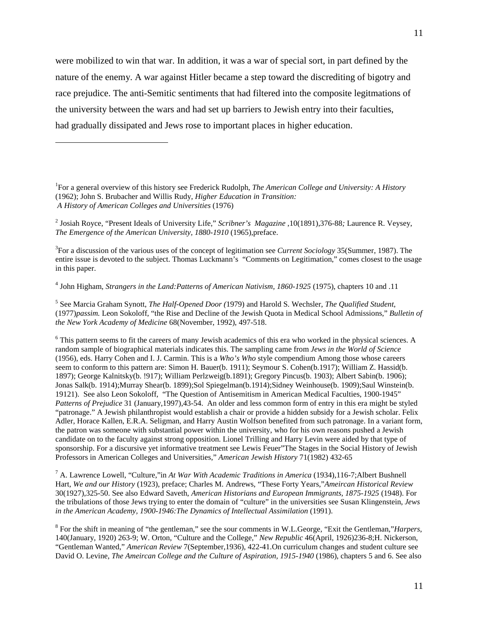were mobilized to win that war. In addition, it was a war of special sort, in part defined by the nature of the enemy. A war against Hitler became a step toward the discrediting of bigotry and race prejudice. The anti-Semitic sentiments that had filtered into the composite legitmations of the university between the wars and had set up barriers to Jewish entry into their faculties, had gradually dissipated and Jews rose to important places in higher education.

<u>.</u>

2 Josiah Royce, "Present Ideals of University Life," *Scribner's Magazine* ,10(1891),376-88*;* Laurence R. Veysey, *The Emergence of the American University, 1880-1910* (1965),preface.

3 For a discussion of the various uses of the concept of legitimation see *Current Sociology* 35(Summer, 1987). The entire issue is devoted to the subject. Thomas Luckmann's "Comments on Legitimation," comes closest to the usage in this paper.

4 John Higham, *Strangers in the Land:Patterns of American Nativism, 1860-1925* (1975), chapters 10 and .11

5 See Marcia Graham Synott, *The Half-Opened Door (*1979) and Harold S. Wechsler, *The Qualified Student*, (1977)*passim.* Leon Sokoloff, "the Rise and Decline of the Jewish Quota in Medical School Admissions," *Bulletin of the New York Academy of Medicine* 68(November, 1992), 497-518.

<sup>6</sup> This pattern seems to fit the careers of many Jewish academics of this era who worked in the physical sciences. A random sample of biographical materials indicates this. The sampling came from *Jews in the World of Science* (1956), eds. Harry Cohen and I. J. Carmin. This is a *Who's Who* style compendium Among those whose careers seem to conform to this pattern are: Simon H. Bauer(b. 1911); Seymour S. Cohen(b.1917); William Z. Hassid(b. 1897); George Kalnitsky(b. !917); William Perlzweig(b.1891); Gregory Pincus(b. 1903); Albert Sabin(b. 1906); Jonas Salk(b. 1914);Murray Shear(b. 1899);Sol Spiegelman(b.1914);Sidney Weinhouse(b. 1909);Saul Winstein(b. 19121). See also Leon Sokoloff, "The Question of Antisemitism in American Medical Faculties, 1900-1945" *Patterns of Prejudice* 31 (January,1997),43-54. An older and less common form of entry in this era might be styled "patronage." A Jewish philanthropist would establish a chair or provide a hidden subsidy for a Jewish scholar. Felix Adler, Horace Kallen, E.R.A. Seligman, and Harry Austin Wolfson benefited from such patronage. In a variant form, the patron was someone with substantial power within the university, who for his own reasons pushed a Jewish candidate on to the faculty against strong opposition. Lionel Trilling and Harry Levin were aided by that type of sponsorship. For a discursive yet informative treatment see Lewis Feuer"The Stages in the Social History of Jewish Professors in American Colleges and Universities," *American Jewish History* 71(1982) 432-65

7 A. Lawrence Lowell, "Culture,"in *At War With Academic Traditions in America* (1934),116-7;Albert Bushnell Hart, *We and our History* (1923), preface; Charles M. Andrews, "These Forty Years,"*Ameircan Historical Review* 30(1927),325-50. See also Edward Saveth, *American Historians and European Immigrants, 1875-1925* (1948). For the tribulations of those Jews trying to enter the domain of "culture" in the universities see Susan Klingenstein, *Jews in the American Academy, 1900-1946:The Dynamics of Intellectual Assimilation* (1991).

8 For the shift in meaning of "the gentleman," see the sour comments in W.L.George, "Exit the Gentleman,"*Harpers*, 140(January, 1920) 263-9; W. Orton, "Culture and the College," *New Republic* 46(April, 1926)236-8;H. Nickerson, "Gentleman Wanted," *American Review* 7(September,1936), 422-41.On curriculum changes and student culture see David O. Levine, *The Ameircan College and the Culture of Aspiration, 1915-1940* (1986), chapters 5 and 6. See also

<sup>1</sup> For a general overview of this history see Frederick Rudolph, *The American College and University: A History* (1962); John S. Brubacher and Willis Rudy, *Higher Education in Transition: A History of American Colleges and Universities* (1976)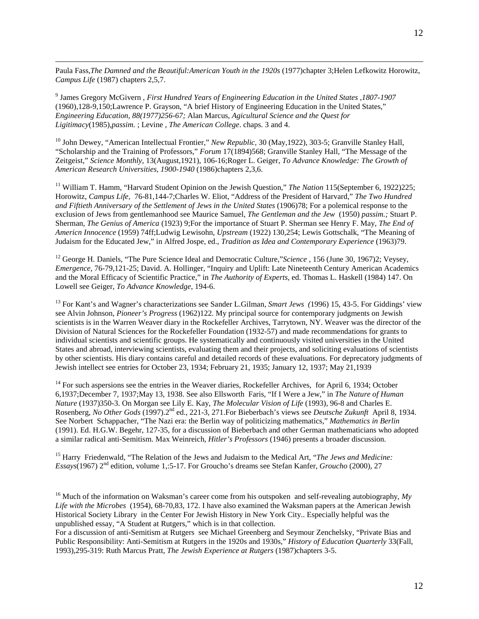Paula Fass,*The Damned and the Beautiful:American Youth in the 1920s* (1977)chapter 3;Helen Lefkowitz Horowitz, *Campus Life* (1987) chapters 2,5,7.

9 James Gregory McGivern , *First Hundred Years of Engineering Education in the United States ,1807-1907* (1960),128-9,150;Lawrence P. Grayson, "A brief History of Engineering Education in the United States," *Engineering Education, 88(1977)256-67;* Alan Marcus, *Agicultural Science and the Quest for Ligitimacy*(1985),*passim.* ; Levine , *The American College*. chaps. 3 and 4.

 $\overline{a}$ 

10 John Dewey, "American Intellectual Frontier," *New Republic,* 30 (May,1922), 303-5; Granville Stanley Hall, "Scholarship and the Training of Professors," *Forum* 17(1894)568; Granville Stanley Hall, "The Message of the Zeitgeist," *Science Monthly,* 13(August,1921), 106-16;Roger L. Geiger, *To Advance Knowledge: The Growth of American Research Universities, 1900-1940* (1986)chapters 2,3,6.

<sup>11</sup> William T. Hamm, "Harvard Student Opinion on the Jewish Question," *The Nation* 115(September 6, 1922)225; Horowitz, *Campus Life,* 76-81,144-7;Charles W. Eliot, "Address of the President of Harvard," *The Two Hundred and Fiftieth Anniversary of the Settlement of Jews in the United States* (1906)78; For a polemical response to the exclusion of Jews from gentlemanhood see Maurice Samuel, *The Gentleman and the Jew* (1950) *passim.;* Stuart P. Sherman, *The Genius of America* (1923) 9;For the importance of Stuart P. Sherman see Henry F. May, *The End of Americn Innocence* (1959) 74ff;Ludwig Lewisohn, *Upstream* (1922) 130,254; Lewis Gottschalk, "The Meaning of Judaism for the Educated Jew," in Alfred Jospe, ed., *Tradition as Idea and Contemporary Experience* (1963)79.

12 George H. Daniels, "The Pure Science Ideal and Democratic Culture,"*Science* , 156 (June 30, 1967)2; Veysey, *Emergence*, 76-79,121-25; David. A. Hollinger, "Inquiry and Uplift: Late Nineteenth Century American Academics and the Moral Efficacy of Scientific Practice," in *The Authority of Experts*, ed. Thomas L. Haskell (1984) 147. On Lowell see Geiger, *To Advance Knowledge*, 194-6.

13 For Kant's and Wagner's characterizations see Sander L.Gilman, *Smart Jews (*1996) 15, 43-5. For Giddings' view see Alvin Johnson, *Pioneer's Progress* (1962)122. My principal source for contemporary judgments on Jewish scientists is in the Warren Weaver diary in the Rockefeller Archives, Tarrytown, NY. Weaver was the director of the Division of Natural Sciences for the Rockefeller Foundation (1932-57) and made recommendations for grants to individual scientists and scientific groups. He systematically and continuously visited universities in the United States and abroad, interviewing scientists, evaluating them and their projects, and soliciting evaluations of scientists by other scientists. His diary contains careful and detailed records of these evaluations. For deprecatory judgments of Jewish intellect see entries for October 23, 1934; February 21, 1935; January 12, 1937; May 21,1939

<sup>14</sup> For such aspersions see the entries in the Weaver diaries, Rockefeller Archives, for April 6, 1934; October 6,1937;December 7, 1937;May 13, 1938. See also Ellsworth Faris, "If I Were a Jew," in *The Nature of Human Nature* (1937)350-3. On Morgan see Lily E. Kay, *The Molecular Vision of Life* (1993), 96-8 and Charles E. Rosenberg, *No Other Gods* (1997).2nd ed., 221-3, 271.For Bieberbach's views see *Deutsche Zukunft* April 8, 1934. See Norbert Schappacher, "The Nazi era: the Berlin way of politicizing mathematics," *Mathematics in Berlin* (1991). Ed. H.G.W. Begehr, 127-35, for a discussion of Bieberbach and other German mathematicians who adopted a similar radical anti-Semitism. Max Weinreich, *Hitler's Professors* (1946) presents a broader discussion.

15 Harry Friedenwald, "The Relation of the Jews and Judaism to the Medical Art, "*The Jews and Medicine: Essays*(1967) 2nd edition, volume 1,:5-17. For Groucho's dreams see Stefan Kanfer, *Groucho* (2000), 27

<sup>16</sup> Much of the information on Waksman's career come from his outspoken and self-revealing autobiography, My *Life with the Microbes* (1954), 68-70,83, 172. I have also examined the Waksman papers at the American Jewish Historical Society Library in the Center For Jewish History in New York City.. Especially helpful was the unpublished essay, "A Student at Rutgers," which is in that collection.

For a discussion of anti-Semitism at Rutgers see Michael Greenberg and Seymour Zenchelsky, "Private Bias and Public Responsibility: Anti-Semitism at Rutgers in the 1920s and 1930s," *History of Education Quarterly* 33(Fall, 1993),295-319: Ruth Marcus Pratt, *The Jewish Experience at Rutgers* (1987)chapters 3-5.